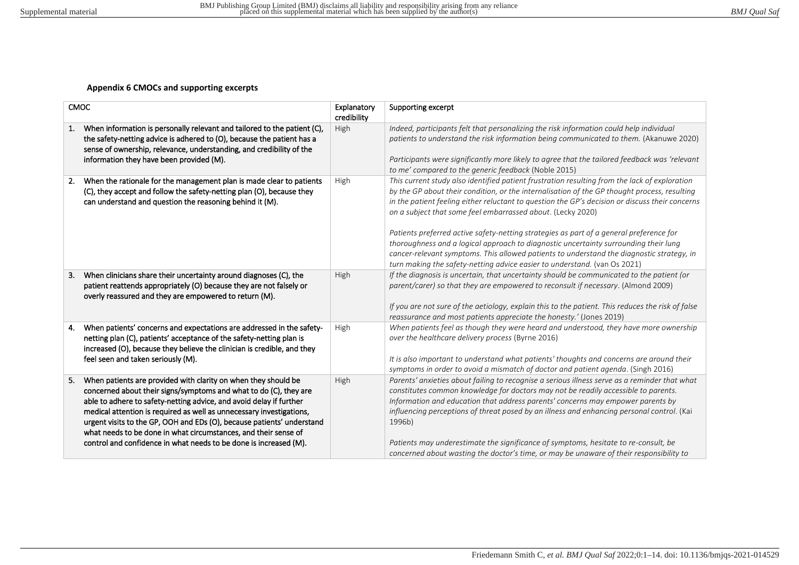## **Appendix 6 CMOCs and supporting excerpts**

| <b>CMOC</b>                                                                                                                                                                                                                                                                                                                                                                                                                                                                                                | Explanatory<br>credibility | Supporting excerpt                                                                                                                                                                                                                                                                                                                                                                                                                                                                                                                                                                                                                                                                                                           |
|------------------------------------------------------------------------------------------------------------------------------------------------------------------------------------------------------------------------------------------------------------------------------------------------------------------------------------------------------------------------------------------------------------------------------------------------------------------------------------------------------------|----------------------------|------------------------------------------------------------------------------------------------------------------------------------------------------------------------------------------------------------------------------------------------------------------------------------------------------------------------------------------------------------------------------------------------------------------------------------------------------------------------------------------------------------------------------------------------------------------------------------------------------------------------------------------------------------------------------------------------------------------------------|
| When information is personally relevant and tailored to the patient (C),<br>1.<br>the safety-netting advice is adhered to (O), because the patient has a<br>sense of ownership, relevance, understanding, and credibility of the<br>information they have been provided (M).                                                                                                                                                                                                                               | High                       | Indeed, participants felt that personalizing the risk information could help individual<br>patients to understand the risk information being communicated to them. (Akanuwe 2020)<br>Participants were significantly more likely to agree that the tailored feedback was 'relevant<br>to me' compared to the generic feedback (Noble 2015)                                                                                                                                                                                                                                                                                                                                                                                   |
| When the rationale for the management plan is made clear to patients<br>2.<br>(C), they accept and follow the safety-netting plan (O), because they<br>can understand and question the reasoning behind it (M).                                                                                                                                                                                                                                                                                            | High                       | This current study also identified patient frustration resulting from the lack of exploration<br>by the GP about their condition, or the internalisation of the GP thought process, resulting<br>in the patient feeling either reluctant to question the GP's decision or discuss their concerns<br>on a subject that some feel embarrassed about. (Lecky 2020)<br>Patients preferred active safety-netting strategies as part of a general preference for<br>thoroughness and a logical approach to diagnostic uncertainty surrounding their lung<br>cancer-relevant symptoms. This allowed patients to understand the diagnostic strategy, in<br>turn making the safety-netting advice easier to understand. (van Os 2021) |
| When clinicians share their uncertainty around diagnoses (C), the<br>З.<br>patient reattends appropriately (O) because they are not falsely or<br>overly reassured and they are empowered to return (M).                                                                                                                                                                                                                                                                                                   | High                       | If the diagnosis is uncertain, that uncertainty should be communicated to the patient (or<br>parent/carer) so that they are empowered to reconsult if necessary. (Almond 2009)<br>If you are not sure of the aetiology, explain this to the patient. This reduces the risk of false<br>reassurance and most patients appreciate the honesty.' (Jones 2019)                                                                                                                                                                                                                                                                                                                                                                   |
| When patients' concerns and expectations are addressed in the safety-<br>4.<br>netting plan (C), patients' acceptance of the safety-netting plan is<br>increased (O), because they believe the clinician is credible, and they<br>feel seen and taken seriously (M).                                                                                                                                                                                                                                       | High                       | When patients feel as though they were heard and understood, they have more ownership<br>over the healthcare delivery process (Byrne 2016)<br>It is also important to understand what patients' thoughts and concerns are around their<br>symptoms in order to avoid a mismatch of doctor and patient agenda. (Singh 2016)                                                                                                                                                                                                                                                                                                                                                                                                   |
| When patients are provided with clarity on when they should be<br>5.<br>concerned about their signs/symptoms and what to do (C), they are<br>able to adhere to safety-netting advice, and avoid delay if further<br>medical attention is required as well as unnecessary investigations,<br>urgent visits to the GP, OOH and EDs (O), because patients' understand<br>what needs to be done in what circumstances, and their sense of<br>control and confidence in what needs to be done is increased (M). | High                       | Parents' anxieties about failing to recognise a serious illness serve as a reminder that what<br>constitutes common knowledge for doctors may not be readily accessible to parents.<br>Information and education that address parents' concerns may empower parents by<br>influencing perceptions of threat posed by an illness and enhancing personal control. (Kai<br>1996b)<br>Patients may underestimate the significance of symptoms, hesitate to re-consult, be<br>concerned about wasting the doctor's time, or may be unaware of their responsibility to                                                                                                                                                             |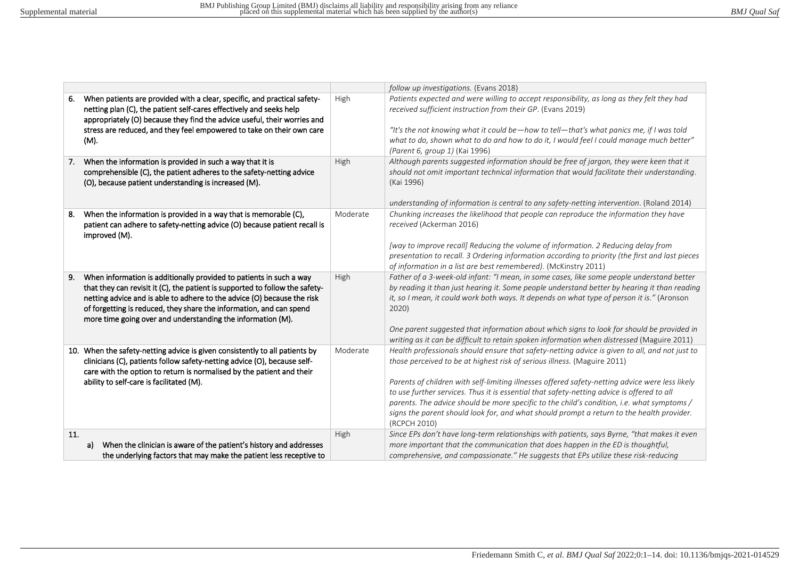|                                                                                                                                                                                                                                                                                                                                                                            |          | follow up investigations. (Evans 2018)                                                                                                                                                                                                                                                                                                                                                                                                                                                                                                                                                 |
|----------------------------------------------------------------------------------------------------------------------------------------------------------------------------------------------------------------------------------------------------------------------------------------------------------------------------------------------------------------------------|----------|----------------------------------------------------------------------------------------------------------------------------------------------------------------------------------------------------------------------------------------------------------------------------------------------------------------------------------------------------------------------------------------------------------------------------------------------------------------------------------------------------------------------------------------------------------------------------------------|
| When patients are provided with a clear, specific, and practical safety-<br>6.<br>netting plan (C), the patient self-cares effectively and seeks help<br>appropriately (O) because they find the advice useful, their worries and<br>stress are reduced, and they feel empowered to take on their own care<br>(M).                                                         | High     | Patients expected and were willing to accept responsibility, as long as they felt they had<br>received sufficient instruction from their GP. (Evans 2019)<br>"It's the not knowing what it could be—how to tell—that's what panics me, if I was told<br>what to do, shown what to do and how to do it, I would feel I could manage much better"<br>(Parent 6, group 1) (Kai 1996)                                                                                                                                                                                                      |
| When the information is provided in such a way that it is<br>7.<br>comprehensible (C), the patient adheres to the safety-netting advice<br>(O), because patient understanding is increased (M).                                                                                                                                                                            | High     | Although parents suggested information should be free of jargon, they were keen that it<br>should not omit important technical information that would facilitate their understanding.<br>(Kai 1996)<br>understanding of information is central to any safety-netting intervention. (Roland 2014)                                                                                                                                                                                                                                                                                       |
| When the information is provided in a way that is memorable (C),<br>8.<br>patient can adhere to safety-netting advice (O) because patient recall is<br>improved (M).                                                                                                                                                                                                       | Moderate | Chunking increases the likelihood that people can reproduce the information they have<br>received (Ackerman 2016)<br>[way to improve recall] Reducing the volume of information. 2 Reducing delay from<br>presentation to recall. 3 Ordering information according to priority (the first and last pieces<br>of information in a list are best remembered). (McKinstry 2011)                                                                                                                                                                                                           |
| When information is additionally provided to patients in such a way<br>9.<br>that they can revisit it (C), the patient is supported to follow the safety-<br>netting advice and is able to adhere to the advice (O) because the risk<br>of forgetting is reduced, they share the information, and can spend<br>more time going over and understanding the information (M). | High     | Father of a 3-week-old infant: "I mean, in some cases, like some people understand better<br>by reading it than just hearing it. Some people understand better by hearing it than reading<br>it, so I mean, it could work both ways. It depends on what type of person it is." (Aronson<br>2020)<br>One parent suggested that information about which signs to look for should be provided in<br>writing as it can be difficult to retain spoken information when distressed (Maguire 2011)                                                                                            |
| 10. When the safety-netting advice is given consistently to all patients by<br>clinicians (C), patients follow safety-netting advice (O), because self-<br>care with the option to return is normalised by the patient and their<br>ability to self-care is facilitated (M).                                                                                               | Moderate | Health professionals should ensure that safety-netting advice is given to all, and not just to<br>those perceived to be at highest risk of serious illness. (Maguire 2011)<br>Parents of children with self-limiting illnesses offered safety-netting advice were less likely<br>to use further services. Thus it is essential that safety-netting advice is offered to all<br>parents. The advice should be more specific to the child's condition, i.e. what symptoms /<br>signs the parent should look for, and what should prompt a return to the health provider.<br>(RCPCH 2010) |
| 11.<br>When the clinician is aware of the patient's history and addresses<br>a)<br>the underlying factors that may make the patient less receptive to                                                                                                                                                                                                                      | High     | Since EPs don't have long-term relationships with patients, says Byrne, "that makes it even<br>more important that the communication that does happen in the ED is thoughtful,<br>comprehensive, and compassionate." He suggests that EPs utilize these risk-reducing                                                                                                                                                                                                                                                                                                                  |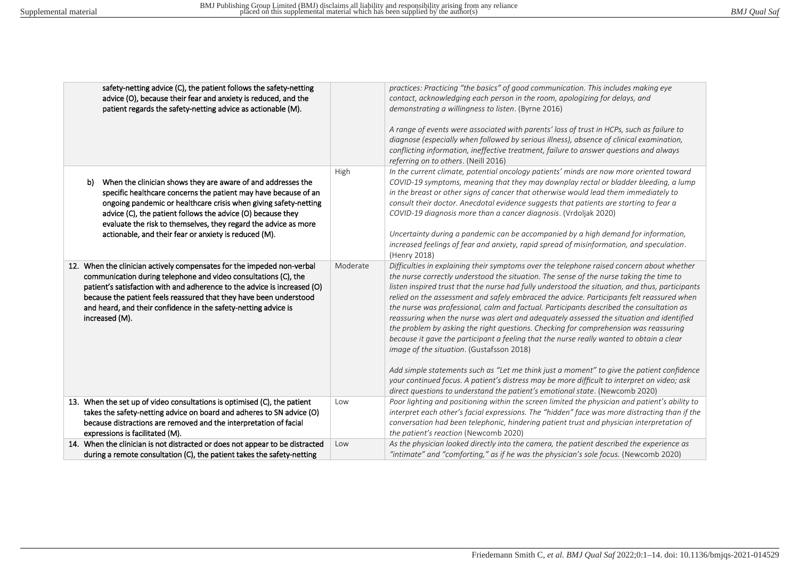| safety-netting advice (C), the patient follows the safety-netting<br>advice (O), because their fear and anxiety is reduced, and the<br>patient regards the safety-netting advice as actionable (M).                                                                                                                                                                                                  |          | practices: Practicing "the basics" of good communication. This includes making eye<br>contact, acknowledging each person in the room, apologizing for delays, and<br>demonstrating a willingness to listen. (Byrne 2016)<br>A range of events were associated with parents' loss of trust in HCPs, such as failure to<br>diagnose (especially when followed by serious illness), absence of clinical examination,<br>conflicting information, ineffective treatment, failure to answer questions and always<br>referring on to others. (Neill 2016)                                                                                                                                                                                                                                                                                                                                                                                                                                                                                                                                       |
|------------------------------------------------------------------------------------------------------------------------------------------------------------------------------------------------------------------------------------------------------------------------------------------------------------------------------------------------------------------------------------------------------|----------|-------------------------------------------------------------------------------------------------------------------------------------------------------------------------------------------------------------------------------------------------------------------------------------------------------------------------------------------------------------------------------------------------------------------------------------------------------------------------------------------------------------------------------------------------------------------------------------------------------------------------------------------------------------------------------------------------------------------------------------------------------------------------------------------------------------------------------------------------------------------------------------------------------------------------------------------------------------------------------------------------------------------------------------------------------------------------------------------|
| When the clinician shows they are aware of and addresses the<br>b)<br>specific healthcare concerns the patient may have because of an<br>ongoing pandemic or healthcare crisis when giving safety-netting<br>advice (C), the patient follows the advice (O) because they<br>evaluate the risk to themselves, they regard the advice as more<br>actionable, and their fear or anxiety is reduced (M). | High     | In the current climate, potential oncology patients' minds are now more oriented toward<br>COVID-19 symptoms, meaning that they may downplay rectal or bladder bleeding, a lump<br>in the breast or other signs of cancer that otherwise would lead them immediately to<br>consult their doctor. Anecdotal evidence suggests that patients are starting to fear a<br>COVID-19 diagnosis more than a cancer diagnosis. (Vrdoljak 2020)<br>Uncertainty during a pandemic can be accompanied by a high demand for information,<br>increased feelings of fear and anxiety, rapid spread of misinformation, and speculation.<br>(Henry 2018)                                                                                                                                                                                                                                                                                                                                                                                                                                                   |
| 12. When the clinician actively compensates for the impeded non-verbal<br>communication during telephone and video consultations (C), the<br>patient's satisfaction with and adherence to the advice is increased (O)<br>because the patient feels reassured that they have been understood<br>and heard, and their confidence in the safety-netting advice is<br>increased (M).                     | Moderate | Difficulties in explaining their symptoms over the telephone raised concern about whether<br>the nurse correctly understood the situation. The sense of the nurse taking the time to<br>listen inspired trust that the nurse had fully understood the situation, and thus, participants<br>relied on the assessment and safely embraced the advice. Participants felt reassured when<br>the nurse was professional, calm and factual. Participants described the consultation as<br>reassuring when the nurse was alert and adequately assessed the situation and identified<br>the problem by asking the right questions. Checking for comprehension was reassuring<br>because it gave the participant a feeling that the nurse really wanted to obtain a clear<br>image of the situation. (Gustafsson 2018)<br>Add simple statements such as "Let me think just a moment" to give the patient confidence<br>your continued focus. A patient's distress may be more difficult to interpret on video; ask<br>direct questions to understand the patient's emotional state. (Newcomb 2020) |
| 13. When the set up of video consultations is optimised (C), the patient<br>takes the safety-netting advice on board and adheres to SN advice (O)                                                                                                                                                                                                                                                    | Low      | Poor lighting and positioning within the screen limited the physician and patient's ability to<br>interpret each other's facial expressions. The "hidden" face was more distracting than if the                                                                                                                                                                                                                                                                                                                                                                                                                                                                                                                                                                                                                                                                                                                                                                                                                                                                                           |
| because distractions are removed and the interpretation of facial<br>expressions is facilitated (M).                                                                                                                                                                                                                                                                                                 |          | conversation had been telephonic, hindering patient trust and physician interpretation of<br>the patient's reaction (Newcomb 2020)                                                                                                                                                                                                                                                                                                                                                                                                                                                                                                                                                                                                                                                                                                                                                                                                                                                                                                                                                        |
| 14. When the clinician is not distracted or does not appear to be distracted                                                                                                                                                                                                                                                                                                                         | Low      | As the physician looked directly into the camera, the patient described the experience as                                                                                                                                                                                                                                                                                                                                                                                                                                                                                                                                                                                                                                                                                                                                                                                                                                                                                                                                                                                                 |
| during a remote consultation (C), the patient takes the safety-netting                                                                                                                                                                                                                                                                                                                               |          | "intimate" and "comforting," as if he was the physician's sole focus. (Newcomb 2020)                                                                                                                                                                                                                                                                                                                                                                                                                                                                                                                                                                                                                                                                                                                                                                                                                                                                                                                                                                                                      |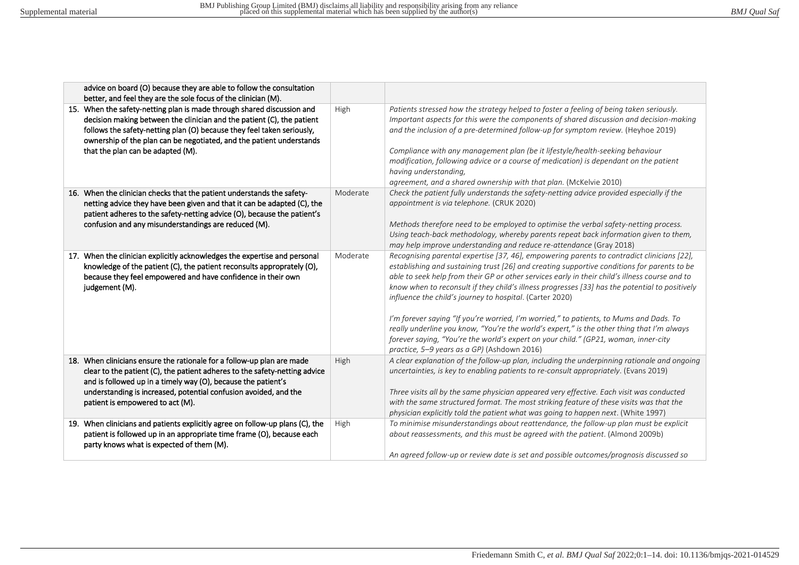| advice on board (O) because they are able to follow the consultation                                                                                                                                                                                                                                                                                                                                      |          |                                                                                                                                                                                                                                                                                                                                                                                                                                                                                                                                                                                                                                                                                                                                                                                         |
|-----------------------------------------------------------------------------------------------------------------------------------------------------------------------------------------------------------------------------------------------------------------------------------------------------------------------------------------------------------------------------------------------------------|----------|-----------------------------------------------------------------------------------------------------------------------------------------------------------------------------------------------------------------------------------------------------------------------------------------------------------------------------------------------------------------------------------------------------------------------------------------------------------------------------------------------------------------------------------------------------------------------------------------------------------------------------------------------------------------------------------------------------------------------------------------------------------------------------------------|
| better, and feel they are the sole focus of the clinician (M).<br>15. When the safety-netting plan is made through shared discussion and<br>decision making between the clinician and the patient (C), the patient<br>follows the safety-netting plan (O) because they feel taken seriously,<br>ownership of the plan can be negotiated, and the patient understands<br>that the plan can be adapted (M). | High     | Patients stressed how the strategy helped to foster a feeling of being taken seriously.<br>Important aspects for this were the components of shared discussion and decision-making<br>and the inclusion of a pre-determined follow-up for symptom review. (Heyhoe 2019)<br>Compliance with any management plan (be it lifestyle/health-seeking behaviour<br>modification, following advice or a course of medication) is dependant on the patient<br>having understanding,<br>agreement, and a shared ownership with that plan. (McKelvie 2010)                                                                                                                                                                                                                                         |
| 16. When the clinician checks that the patient understands the safety-<br>netting advice they have been given and that it can be adapted (C), the<br>patient adheres to the safety-netting advice (O), because the patient's<br>confusion and any misunderstandings are reduced (M).                                                                                                                      | Moderate | Check the patient fully understands the safety-netting advice provided especially if the<br>appointment is via telephone. (CRUK 2020)<br>Methods therefore need to be employed to optimise the verbal safety-netting process.<br>Using teach-back methodology, whereby parents repeat back information given to them,<br>may help improve understanding and reduce re-attendance (Gray 2018)                                                                                                                                                                                                                                                                                                                                                                                            |
| 17. When the clinician explicitly acknowledges the expertise and personal<br>knowledge of the patient (C), the patient reconsults approprately (O),<br>because they feel empowered and have confidence in their own<br>judgement (M).                                                                                                                                                                     | Moderate | Recognising parental expertise [37, 46], empowering parents to contradict clinicians [22],<br>establishing and sustaining trust [26] and creating supportive conditions for parents to be<br>able to seek help from their GP or other services early in their child's illness course and to<br>know when to reconsult if they child's illness progresses [33] has the potential to positively<br>influence the child's journey to hospital. (Carter 2020)<br>I'm forever saying "If you're worried, I'm worried," to patients, to Mums and Dads. To<br>really underline you know, "You're the world's expert," is the other thing that I'm always<br>forever saying, "You're the world's expert on your child." (GP21, woman, inner-city<br>practice, 5-9 years as a GP) (Ashdown 2016) |
| 18. When clinicians ensure the rationale for a follow-up plan are made<br>clear to the patient (C), the patient adheres to the safety-netting advice<br>and is followed up in a timely way (O), because the patient's<br>understanding is increased, potential confusion avoided, and the<br>patient is empowered to act (M).                                                                             | High     | A clear explanation of the follow-up plan, including the underpinning rationale and ongoing<br>uncertainties, is key to enabling patients to re-consult appropriately. (Evans 2019)<br>Three visits all by the same physician appeared very effective. Each visit was conducted<br>with the same structured format. The most striking feature of these visits was that the<br>physician explicitly told the patient what was going to happen next. (White 1997)                                                                                                                                                                                                                                                                                                                         |
| 19. When clinicians and patients explicitly agree on follow-up plans (C), the<br>patient is followed up in an appropriate time frame (O), because each<br>party knows what is expected of them (M).                                                                                                                                                                                                       | High     | To minimise misunderstandings about reattendance, the follow-up plan must be explicit<br>about reassessments, and this must be agreed with the patient. (Almond 2009b)<br>An agreed follow-up or review date is set and possible outcomes/prognosis discussed so                                                                                                                                                                                                                                                                                                                                                                                                                                                                                                                        |